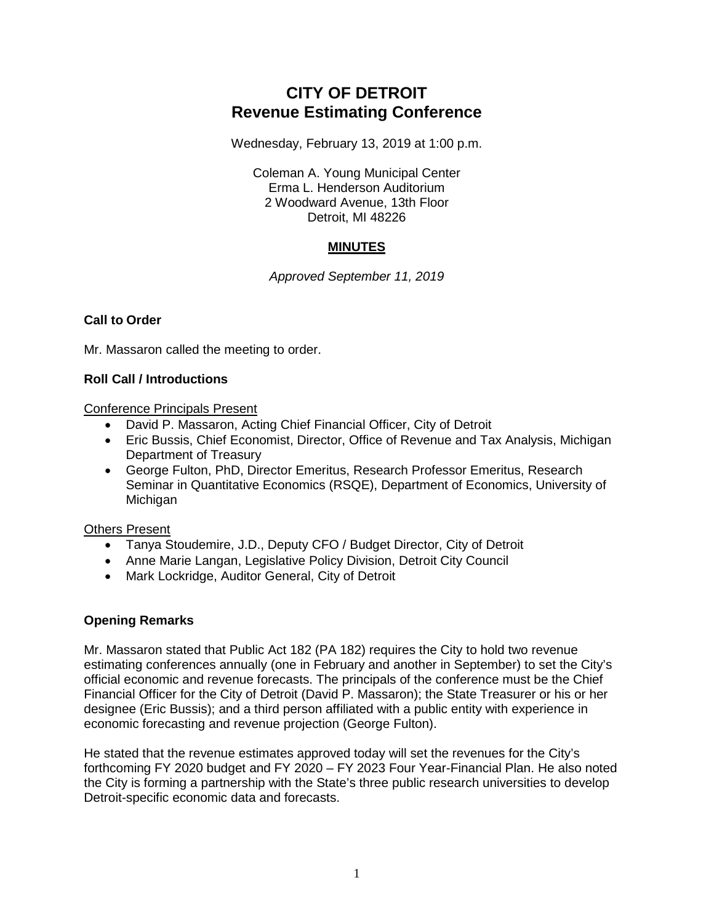# **CITY OF DETROIT Revenue Estimating Conference**

Wednesday, February 13, 2019 at 1:00 p.m.

Coleman A. Young Municipal Center Erma L. Henderson Auditorium 2 Woodward Avenue, 13th Floor Detroit, MI 48226

## **MINUTES**

*Approved September 11, 2019*

## **Call to Order**

Mr. Massaron called the meeting to order.

## **Roll Call / Introductions**

Conference Principals Present

- David P. Massaron, Acting Chief Financial Officer, City of Detroit
- Eric Bussis, Chief Economist, Director, Office of Revenue and Tax Analysis, Michigan Department of Treasury
- George Fulton, PhD, Director Emeritus, Research Professor Emeritus, Research Seminar in Quantitative Economics (RSQE), Department of Economics, University of **Michigan**

## Others Present

- Tanya Stoudemire, J.D., Deputy CFO / Budget Director, City of Detroit
- Anne Marie Langan, Legislative Policy Division, Detroit City Council
- Mark Lockridge, Auditor General, City of Detroit

# **Opening Remarks**

Mr. Massaron stated that Public Act 182 (PA 182) requires the City to hold two revenue estimating conferences annually (one in February and another in September) to set the City's official economic and revenue forecasts. The principals of the conference must be the Chief Financial Officer for the City of Detroit (David P. Massaron); the State Treasurer or his or her designee (Eric Bussis); and a third person affiliated with a public entity with experience in economic forecasting and revenue projection (George Fulton).

He stated that the revenue estimates approved today will set the revenues for the City's forthcoming FY 2020 budget and FY 2020 – FY 2023 Four Year-Financial Plan. He also noted the City is forming a partnership with the State's three public research universities to develop Detroit-specific economic data and forecasts.